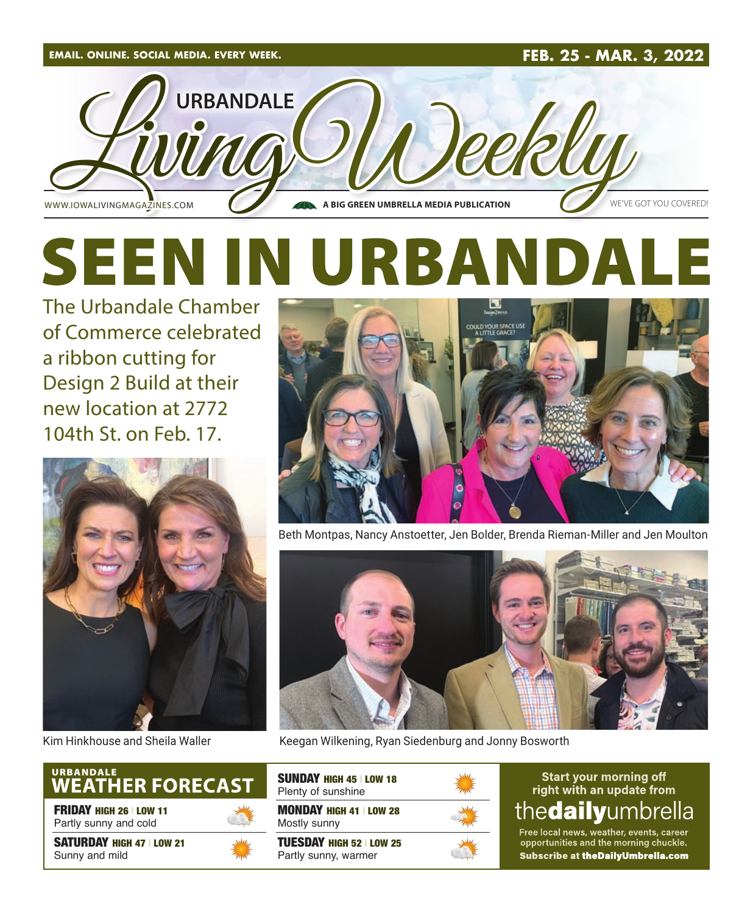

# **SEEN IN URBAND**  $\blacksquare$

The Urbandale Chamber of Commerce celebrated a ribbon cutting for Design 2 Build at their new location at 2772 104th St. on Feb. 17.



# URBANDALE<br>WEATHER FORECAST

FRIDAY HIGH 26 | LOW 11 Partly sunny and cold

SATURDAY HIGH 47 | LOW 21 Sunny and mild





Beth Montpas, Nancy Anstoetter, Jen Bolder, Brenda Rieman-Miller and Jen Moulton



Kim Hinkhouse and Sheila Waller Keegan Wilkening, Ryan Siedenburg and Jonny Bosworth

| <b>SUNDAY HIGH 45   LOW 18</b><br>Plenty of sunshine  |  |
|-------------------------------------------------------|--|
| <b>MONDAY HIGH 41   LOW 28</b><br>Mostly sunny        |  |
| <b>TUESDAY HIGH 52 LOW 25</b><br>Partly sunny, warmer |  |

#### **Start your morning off** right with an update from the**daily**umbrella

Free local news, weather, events, career<br>opportunities and the morning chuckle. Subscribe at theDailyUmbrella.com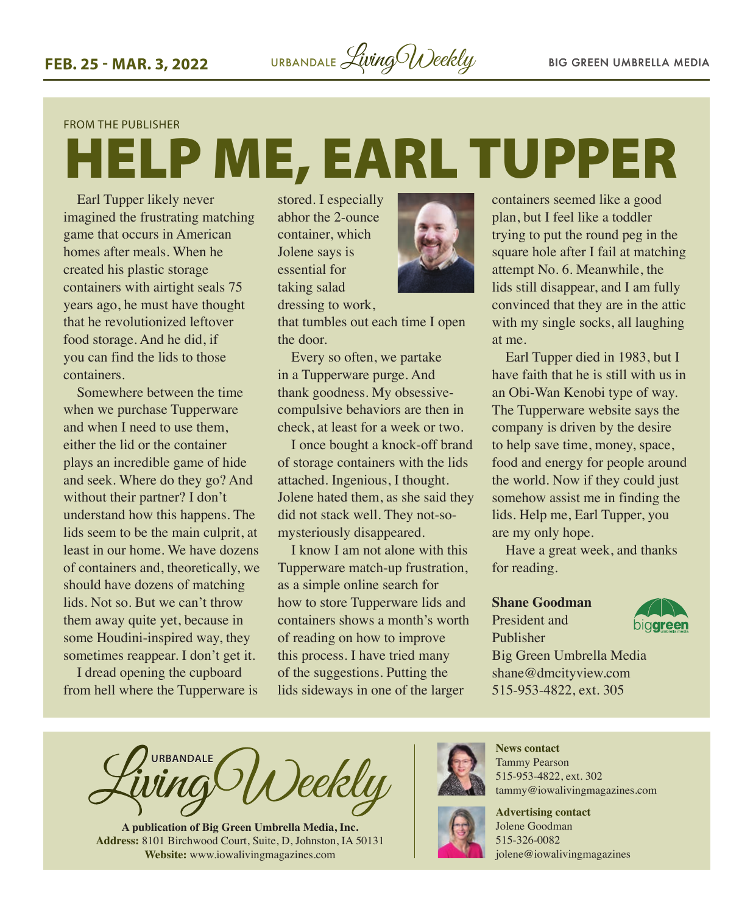#### FROM THE PUBLISHER

# HELP ME, EARL TUPPER

Earl Tupper likely never imagined the frustrating matching game that occurs in American homes after meals. When he created his plastic storage containers with airtight seals 75 years ago, he must have thought that he revolutionized leftover food storage. And he did, if you can find the lids to those containers.

Somewhere between the time when we purchase Tupperware and when I need to use them, either the lid or the container plays an incredible game of hide and seek. Where do they go? And without their partner? I don't understand how this happens. The lids seem to be the main culprit, at least in our home. We have dozens of containers and, theoretically, we should have dozens of matching lids. Not so. But we can't throw them away quite yet, because in some Houdini-inspired way, they sometimes reappear. I don't get it.

I dread opening the cupboard from hell where the Tupperware is

stored. I especially abhor the 2-ounce container, which Jolene says is essential for taking salad



dressing to work,

that tumbles out each time I open the door.

Every so often, we partake in a Tupperware purge. And thank goodness. My obsessivecompulsive behaviors are then in check, at least for a week or two.

I once bought a knock-off brand of storage containers with the lids attached. Ingenious, I thought. Jolene hated them, as she said they did not stack well. They not-somysteriously disappeared.

I know I am not alone with this Tupperware match-up frustration, as a simple online search for how to store Tupperware lids and containers shows a month's worth of reading on how to improve this process. I have tried many of the suggestions. Putting the lids sideways in one of the larger

containers seemed like a good plan, but I feel like a toddler trying to put the round peg in the square hole after I fail at matching attempt No. 6. Meanwhile, the lids still disappear, and I am fully convinced that they are in the attic with my single socks, all laughing at me.

Earl Tupper died in 1983, but I have faith that he is still with us in an Obi-Wan Kenobi type of way. The Tupperware website says the company is driven by the desire to help save time, money, space, food and energy for people around the world. Now if they could just somehow assist me in finding the lids. Help me, Earl Tupper, you are my only hope.

Have a great week, and thanks for reading.

#### **Shane Goodman**

President and Publisher



Big Green Umbrella Media shane@dmcityview.com 515-953-4822, ext. 305

**URBANDALE** eekly

**A publication of Big Green Umbrella Media, Inc. Address:** 8101 Birchwood Court, Suite, D, Johnston, IA 50131 **Website:** [www.iowalivingmagazines.com](http://www.iowalivingmagazines.com)



**News contact** Tammy Pearson 515-953-4822, ext. 302 [tammy@iowalivingmagazines.com](mailto:tammy@iowalivingmagazines.com)

**Advertising contact** Jolene Goodman 515-326-0082 jolene@iowalivingmagazines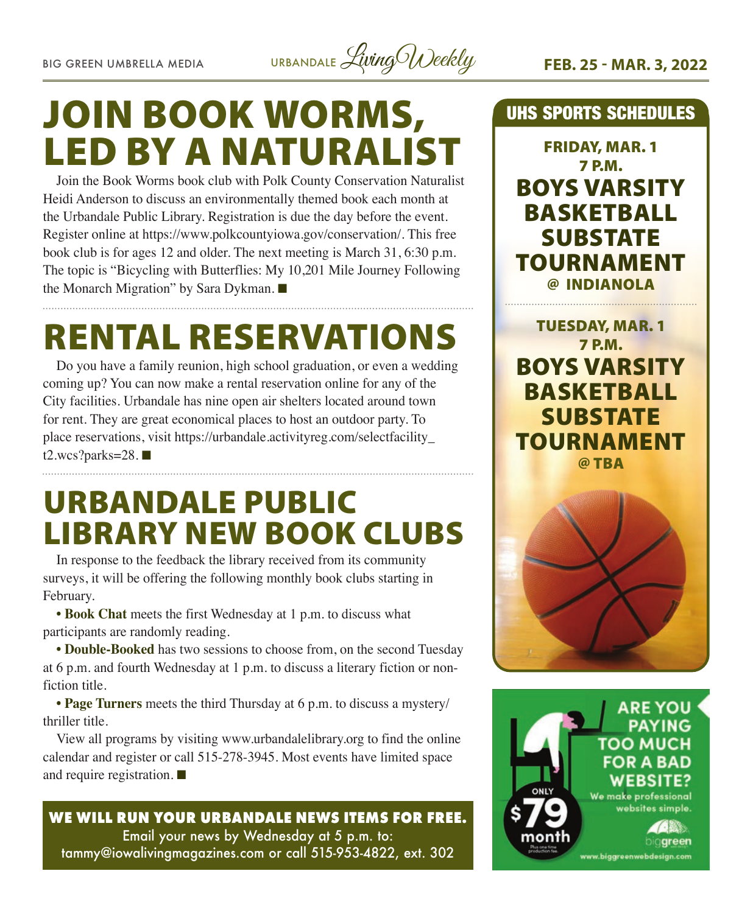

# JOIN BOOK WORMS, LED BY A NATURALIST

Join the Book Worms book club with Polk County Conservation Naturalist Heidi Anderson to discuss an environmentally themed book each month at the Urbandale Public Library. Registration is due the day before the event. Register online at [https://www.polkcountyiowa.gov/conservation/.](https://www.polkcountyiowa.gov/conservation/) This free book club is for ages 12 and older. The next meeting is March 31, 6:30 p.m. The topic is "Bicycling with Butterflies: My 10,201 Mile Journey Following the Monarch Migration" by Sara Dykman.  $\blacksquare$ 

# RENTAL RESERVATIONS

Do you have a family reunion, high school graduation, or even a wedding coming up? You can now make a rental reservation online for any of the City facilities. Urbandale has nine open air shelters located around town for rent. They are great economical places to host an outdoor party. To place reservations, visit [https://urbandale.activityreg.com/selectfacility\\_](https://urbandale.activityreg.com/selectfacility_t2.wcs?parks=28) [t2.wcs?parks=28](https://urbandale.activityreg.com/selectfacility_t2.wcs?parks=28). $\blacksquare$ 

# URBANDALE PUBLIC LIBRARY NEW BOOK CLUBS

In response to the feedback the library received from its community surveys, it will be offering the following monthly book clubs starting in February.

**• Book Chat** meets the first Wednesday at 1 p.m. to discuss what participants are randomly reading.

**• Double-Booked** has two sessions to choose from, on the second Tuesday at 6 p.m. and fourth Wednesday at 1 p.m. to discuss a literary fiction or nonfiction title.

**• Page Turners** meets the third Thursday at 6 p.m. to discuss a mystery/ thriller title.

View all programs by visiting [www.urbandalelibrary.org](http://www.urbandalelibrary.org) to find the online calendar and register or call 515-278-3945. Most events have limited space and require registration.  $\blacksquare$ 

#### **WE WILL RUN YOUR URBANDALE NEWS ITEMS FOR FREE.** Email your news by Wednesday at 5 p.m. to: [tammy@iowalivingmagazines.com](mailto:tammy@iowalivingmagazines.com) or call 515-953-4822, ext. 302

#### UHS SPORTS SCHEDULES

FRIDAY, MAR. 1 7 P.M. BOYS VARSITY BASKETBALL **SUBSTATE** TOURNAMENT @ INDIANOLA

TUESDAY, MAR. 1 7 P.M. BOYS VARSITY BASKETBALL **SUBSTATE** TOURNAMENT @ TBA



**ARE YOU PAYING TOO MUCH FOR A BAD WEBSITE?** We make professional websites simple. nareen www.biggreenwebdesign.com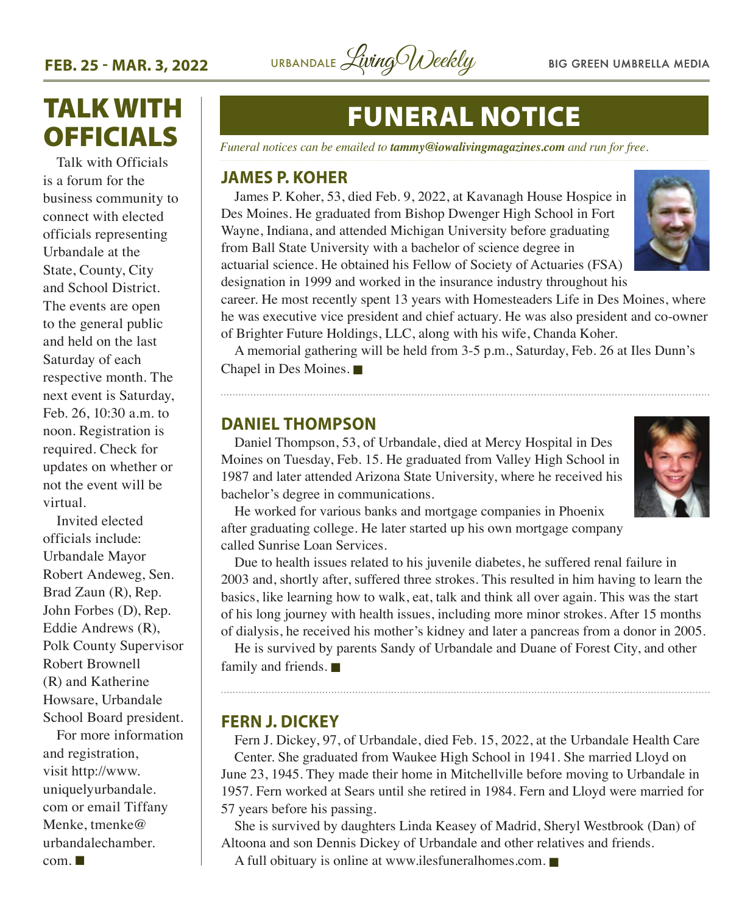

## TALK WITH OFFICIALS

Talk with Officials is a forum for the business community to connect with elected officials representing Urbandale at the State, County, City and School District. The events are open to the general public and held on the last Saturday of each respective month. The next event is Saturday, Feb. 26, 10:30 a.m. to noon. Registration is required. Check for updates on whether or not the event will be virtual.

Invited elected officials include: Urbandale Mayor Robert Andeweg, Sen. Brad Zaun (R), Rep. John Forbes (D), Rep. Eddie Andrews (R), Polk County Supervisor Robert Brownell (R) and Katherine Howsare, Urbandale School Board president.

For more information and registration, visit [http://www.](http://www.uniquelyurbandale.com) [uniquelyurbandale.](http://www.uniquelyurbandale.com) [com](http://www.uniquelyurbandale.com) or email Tiffany Menke, [tmenke@](mailto:tmenke@urbandalechamber.com) [urbandalechamber.](mailto:tmenke@urbandalechamber.com)  $com. \blacksquare$  $com. \blacksquare$ 

# FUNERAL NOTICE

*Funeral notices can be emailed to tammy@iowalivingmagazines.com and run for free.*

#### **JAMES P. KOHER**

James P. Koher, 53, died Feb. 9, 2022, at Kavanagh House Hospice in Des Moines. He graduated from Bishop Dwenger High School in Fort Wayne, Indiana, and attended Michigan University before graduating from Ball State University with a bachelor of science degree in actuarial science. He obtained his Fellow of Society of Actuaries (FSA) designation in 1999 and worked in the insurance industry throughout his



career. He most recently spent 13 years with Homesteaders Life in Des Moines, where he was executive vice president and chief actuary. He was also president and co-owner of Brighter Future Holdings, LLC, along with his wife, Chanda Koher.

A memorial gathering will be held from 3-5 p.m., Saturday, Feb. 26 at Iles Dunn's Chapel in Des Moines. $\blacksquare$ 

#### **DANIEL THOMPSON**

Daniel Thompson, 53, of Urbandale, died at Mercy Hospital in Des Moines on Tuesday, Feb. 15. He graduated from Valley High School in 1987 and later attended Arizona State University, where he received his bachelor's degree in communications.



He worked for various banks and mortgage companies in Phoenix after graduating college. He later started up his own mortgage company called Sunrise Loan Services.

Due to health issues related to his juvenile diabetes, he suffered renal failure in 2003 and, shortly after, suffered three strokes. This resulted in him having to learn the basics, like learning how to walk, eat, talk and think all over again. This was the start of his long journey with health issues, including more minor strokes. After 15 months of dialysis, he received his mother's kidney and later a pancreas from a donor in 2005.

He is survived by parents Sandy of Urbandale and Duane of Forest City, and other family and friends.  $\blacksquare$ 

#### **FERN J. DICKEY**

Fern J. Dickey, 97, of Urbandale, died Feb. 15, 2022, at the Urbandale Health Care Center. She graduated from Waukee High School in 1941. She married Lloyd on June 23, 1945. They made their home in Mitchellville before moving to Urbandale in 1957. Fern worked at Sears until she retired in 1984. Fern and Lloyd were married for 57 years before his passing.

She is survived by daughters Linda Keasey of Madrid, Sheryl Westbrook (Dan) of Altoona and son Dennis Dickey of Urbandale and other relatives and friends.

A full obituary is online at [www.ilesfuneralhomes.com](http://www.ilesfuneralhomes.com).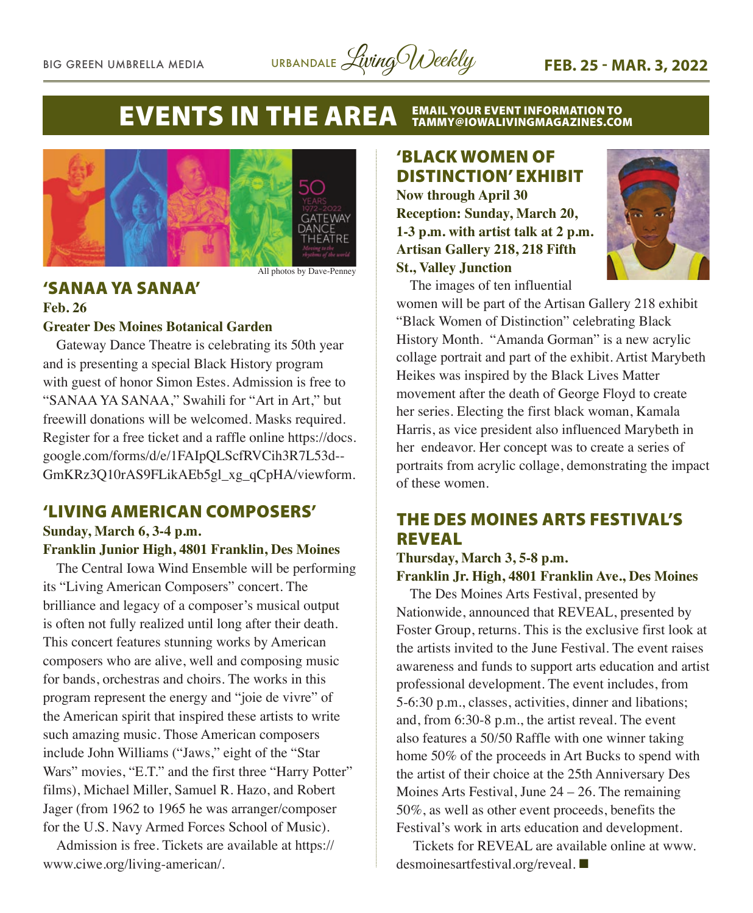

#### **EVENTS IN THE AREA EMAIL YOUR EVENT INFORMATION TO<br>TAMMY@IOWALIVINGMAGAZINES.COM**



All photos by Dave-Penney

#### 'SANAA YA SANAA'

#### **Feb. 26 Greater Des Moines Botanical Garden**

Gateway Dance Theatre is celebrating its 50th year and is presenting a special Black History program with guest of honor Simon Estes. Admission is free to "SANAA YA SANAA," Swahili for "Art in Art," but freewill donations will be welcomed. Masks required. Register for a free ticket and a raffle online https://docs. google.com/forms/d/e/1FAIpQLScfRVCih3R7L53d-- GmKRz3Q10rAS9FLikAEb5gl\_xg\_qCpHA/viewform.

#### 'LIVING AMERICAN COMPOSERS' **Sunday, March 6, 3-4 p.m.**

#### **Franklin Junior High, 4801 Franklin, Des Moines**

The Central Iowa Wind Ensemble will be performing its "Living American Composers" concert. The brilliance and legacy of a composer's musical output is often not fully realized until long after their death. This concert features stunning works by American composers who are alive, well and composing music for bands, orchestras and choirs. The works in this program represent the energy and "joie de vivre" of the American spirit that inspired these artists to write such amazing music. Those American composers include John Williams ("Jaws," eight of the "Star Wars" movies, "E.T." and the first three "Harry Potter" films), Michael Miller, Samuel R. Hazo, and Robert Jager (from 1962 to 1965 he was arranger/composer for the U.S. Navy Armed Forces School of Music).

Admission is free. Tickets are available at https:// www.ciwe.org/living-american/.

### 'BLACK WOMEN OF DISTINCTION' EXHIBIT

**Now through April 30 Reception: Sunday, March 20, 1-3 p.m. with artist talk at 2 p.m. Artisan Gallery 218, 218 Fifth St., Valley Junction**



The images of ten influential

women will be part of the Artisan Gallery 218 exhibit "Black Women of Distinction" celebrating Black History Month. "Amanda Gorman" is a new acrylic collage portrait and part of the exhibit. Artist Marybeth Heikes was inspired by the Black Lives Matter movement after the death of George Floyd to create her series. Electing the first black woman, Kamala Harris, as vice president also influenced Marybeth in her endeavor. Her concept was to create a series of portraits from acrylic collage, demonstrating the impact of these women.

#### THE DES MOINES ARTS FESTIVAL'S REVEAL

#### **Thursday, March 3, 5-8 p.m. Franklin Jr. High, 4801 Franklin Ave., Des Moines**

The Des Moines Arts Festival, presented by Nationwide, announced that REVEAL, presented by Foster Group, returns. This is the exclusive first look at the artists invited to the June Festival. The event raises awareness and funds to support arts education and artist professional development. The event includes, from 5-6:30 p.m., classes, activities, dinner and libations; and, from 6:30-8 p.m., the artist reveal. The event also features a 50/50 Raffle with one winner taking home 50% of the proceeds in Art Bucks to spend with the artist of their choice at the 25th Anniversary Des Moines Arts Festival, June 24 – 26. The remaining 50%, as well as other event proceeds, benefits the Festival's work in arts education and development.

Tickets for REVEAL are available online at www. desmoinesartfestival.org/reveal. ■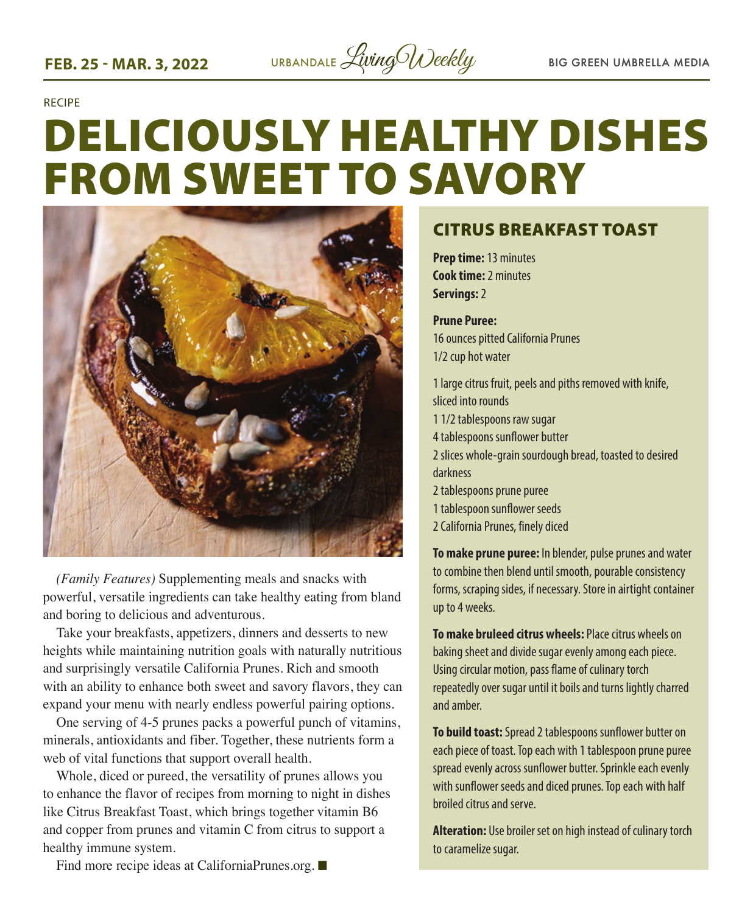

RECIPE

# DELICIOUSLY HEALTHY DISHES FROM SWEET TO SAVORY



*(Family Features)* Supplementing meals and snacks with powerful, versatile ingredients can take healthy eating from bland and boring to delicious and adventurous.

Take your breakfasts, appetizers, dinners and desserts to new heights while maintaining nutrition goals with naturally nutritious and surprisingly versatile California Prunes. Rich and smooth with an ability to enhance both sweet and savory flavors, they can expand your menu with nearly endless powerful pairing options.

One serving of 4-5 prunes packs a powerful punch of vitamins, minerals, antioxidants and fiber. Together, these nutrients form a web of vital functions that support overall health.

Whole, diced or pureed, the versatility of prunes allows you to enhance the flavor of recipes from morning to night in dishes like Citrus Breakfast Toast, which brings together vitamin B6 and copper from prunes and vitamin C from citrus to support a healthy immune system.

#### CITRUS BREAKFAST TOAST

**Prep time:** 13 minutes **Cook time:** 2 minutes **Servings:** 2

**Prune Puree:**  16 ounces pitted California Prunes 1/2 cup hot water

1 large citrus fruit, peels and piths removed with knife, sliced into rounds 1 1/2 tablespoons raw sugar 4 tablespoons sunflower butter 2 slices whole-grain sourdough bread, toasted to desired darkness 2 tablespoons prune puree 1 tablespoon sunflower seeds 2 California Prunes, finely diced

**To make prune puree:** In blender, pulse prunes and water to combine then blend until smooth, pourable consistency forms, scraping sides, if necessary. Store in airtight container up to 4 weeks.

**To make bruleed citrus wheels:** Place citrus wheels on baking sheet and divide sugar evenly among each piece. Using circular motion, pass flame of culinary torch repeatedly over sugar until it boils and turns lightly charred and amber.

**To build toast:** Spread 2 tablespoons sunflower butter on each piece of toast. Top each with 1 tablespoon prune puree spread evenly across sunflower butter. Sprinkle each evenly with sunflower seeds and diced prunes. Top each with half broiled citrus and serve.

**Alteration:** Use broiler set on high instead of culinary torch to caramelize sugar.

Find more recipe ideas at CaliforniaPrunes.org.  $\blacksquare$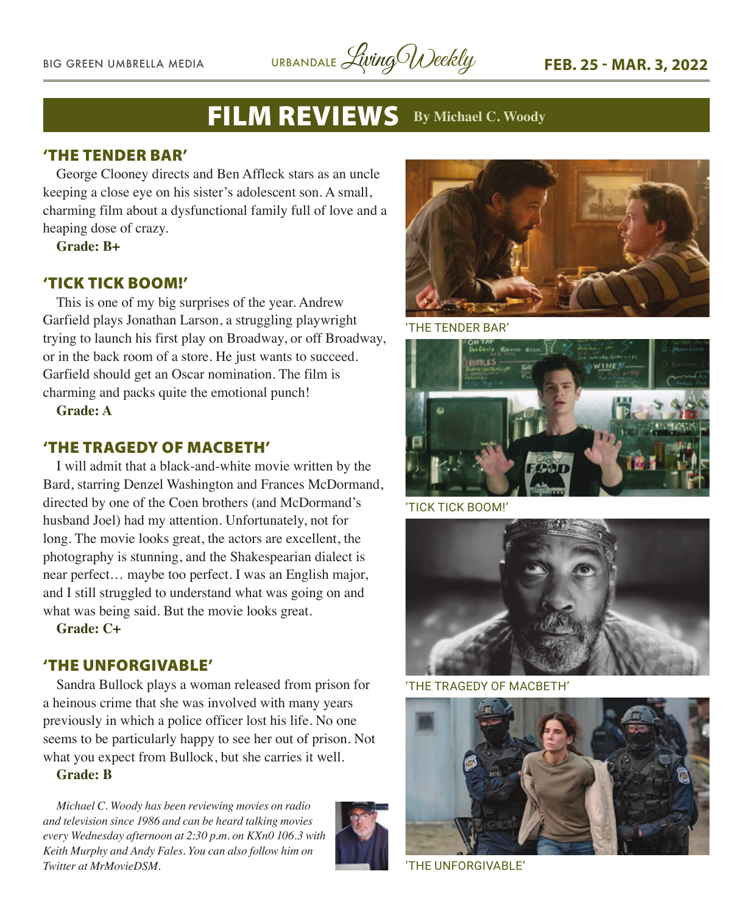BIG GREEN UMBRELLA MEDIA URBANDALE *Living Weekly* FEB. 25 - MAR. 3, 2022

### FILM REVIEWS **By Michael C. Woody**

#### 'THE TENDER BAR'

George Clooney directs and Ben Affleck stars as an uncle keeping a close eye on his sister's adolescent son. A small, charming film about a dysfunctional family full of love and a heaping dose of crazy.

**Grade: B+**

#### 'TICK TICK BOOM!'

This is one of my big surprises of the year. Andrew Garfield plays Jonathan Larson, a struggling playwright trying to launch his first play on Broadway, or off Broadway, or in the back room of a store. He just wants to succeed. Garfield should get an Oscar nomination. The film is charming and packs quite the emotional punch!

**Grade: A**

#### 'THE TRAGEDY OF MACBETH'

I will admit that a black-and-white movie written by the Bard, starring Denzel Washington and Frances McDormand, directed by one of the Coen brothers (and McDormand's husband Joel) had my attention. Unfortunately, not for long. The movie looks great, the actors are excellent, the photography is stunning, and the Shakespearian dialect is near perfect… maybe too perfect. I was an English major, and I still struggled to understand what was going on and what was being said. But the movie looks great.

**Grade: C+**

#### 'THE UNFORGIVABLE'

Sandra Bullock plays a woman released from prison for a heinous crime that she was involved with many years previously in which a police officer lost his life. No one seems to be particularly happy to see her out of prison. Not what you expect from Bullock, but she carries it well.

**Grade: B**

*Michael C. Woody has been reviewing movies on radio and television since 1986 and can be heard talking movies every Wednesday afternoon at 2:30 p.m. on KXn0 106.3 with Keith Murphy and Andy Fales. You can also follow him on Twitter at MrMovieDSM.* 





'THE TENDER BAR'



'TICK TICK BOOM!'



'THE TRAGEDY OF MACBETH'



'THE UNFORGIVABLE'